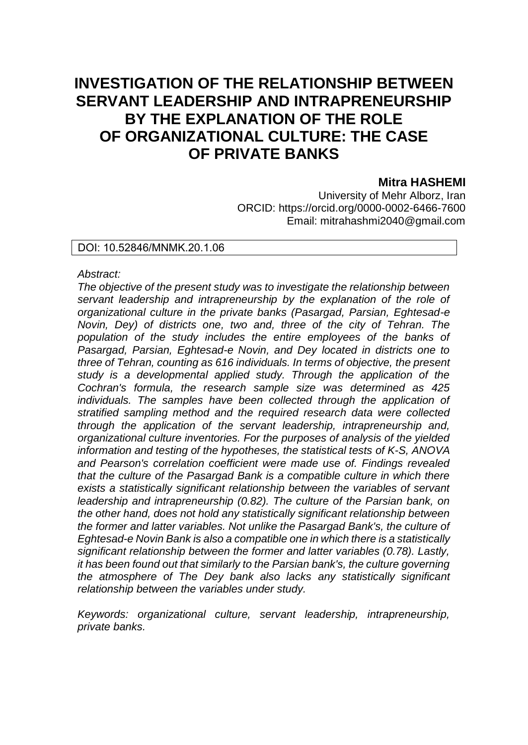# **INVESTIGATION OF THE RELATIONSHIP BETWEEN SERVANT LEADERSHIP AND INTRAPRENEURSHIP BY THE EXPLANATION OF THE ROLE OF ORGANIZATIONAL CULTURE: THE CASE OF PRIVATE BANKS**

# **Mitra HASHEMI**

University of Mehr Alborz, Iran ORCID: https://orcid.org/0000-0002-6466-7600 Email: mitrahashmi2040@gmail.com

### DOI: 10.52846/MNMK.20.1.06

#### *Abstract:*

*The objective of the present study was to investigate the relationship between servant leadership and intrapreneurship by the explanation of the role of organizational culture in the private banks (Pasargad, Parsian, Eghtesad-e Novin, Dey) of districts one, two and, three of the city of Tehran. The*  population of the study includes the entire employees of the banks of *Pasargad, Parsian, Eghtesad-e Novin, and Dey located in districts one to three of Tehran, counting as 616 individuals. In terms of objective, the present study is a developmental applied study. Through the application of the Cochran's formula, the research sample size was determined as 425 individuals. The samples have been collected through the application of stratified sampling method and the required research data were collected through the application of the servant leadership, intrapreneurship and, organizational culture inventories. For the purposes of analysis of the yielded information and testing of the hypotheses, the statistical tests of K-S, ANOVA and Pearson's correlation coefficient were made use of. Findings revealed that the culture of the Pasargad Bank is a compatible culture in which there exists a statistically significant relationship between the variables of servant leadership and intrapreneurship (0.82). The culture of the Parsian bank, on the other hand, does not hold any statistically significant relationship between the former and latter variables. Not unlike the Pasargad Bank's, the culture of Eghtesad-e Novin Bank is also a compatible one in which there is a statistically significant relationship between the former and latter variables (0.78). Lastly, it has been found out that similarly to the Parsian bank's, the culture governing the atmosphere of The Dey bank also lacks any statistically significant relationship between the variables under study.*

*Keywords: organizational culture, servant leadership, intrapreneurship, private banks.*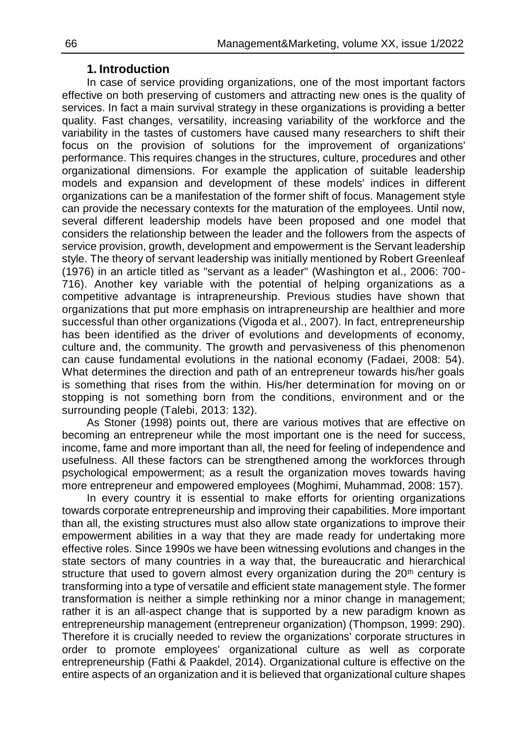# **1. Introduction**

In case of service providing organizations, one of the most important factors effective on both preserving of customers and attracting new ones is the quality of services. In fact a main survival strategy in these organizations is providing a better quality. Fast changes, versatility, increasing variability of the workforce and the variability in the tastes of customers have caused many researchers to shift their focus on the provision of solutions for the improvement of organizations' performance. This requires changes in the structures, culture, procedures and other organizational dimensions. For example the application of suitable leadership models and expansion and development of these models' indices in different organizations can be a manifestation of the former shift of focus. Management style can provide the necessary contexts for the maturation of the employees. Until now, several different leadership models have been proposed and one model that considers the relationship between the leader and the followers from the aspects of service provision, growth, development and empowerment is the Servant leadership style. The theory of servant leadership was initially mentioned by Robert Greenleaf (1976) in an article titled as "servant as a leader" (Washington et al., 2006: 700- 716). Another key variable with the potential of helping organizations as a competitive advantage is intrapreneurship. Previous studies have shown that organizations that put more emphasis on intrapreneurship are healthier and more successful than other organizations (Vigoda et al., 2007). In fact, entrepreneurship has been identified as the driver of evolutions and developments of economy, culture and, the community. The growth and pervasiveness of this phenomenon can cause fundamental evolutions in the national economy (Fadaei, 2008: 54). What determines the direction and path of an entrepreneur towards his/her goals is something that rises from the within. His/her determination for moving on or stopping is not something born from the conditions, environment and or the surrounding people (Talebi, 2013: 132).

As Stoner (1998) points out, there are various motives that are effective on becoming an entrepreneur while the most important one is the need for success, income, fame and more important than all, the need for feeling of independence and usefulness. All these factors can be strengthened among the workforces through psychological empowerment; as a result the organization moves towards having more entrepreneur and empowered employees (Moghimi, Muhammad, 2008: 157).

In every country it is essential to make efforts for orienting organizations towards corporate entrepreneurship and improving their capabilities. More important than all, the existing structures must also allow state organizations to improve their empowerment abilities in a way that they are made ready for undertaking more effective roles. Since 1990s we have been witnessing evolutions and changes in the state sectors of many countries in a way that, the bureaucratic and hierarchical structure that used to govern almost every organization during the  $20<sup>th</sup>$  century is transforming into a type of versatile and efficient state management style. The former transformation is neither a simple rethinking nor a minor change in management; rather it is an all-aspect change that is supported by a new paradigm known as entrepreneurship management (entrepreneur organization) (Thompson, 1999: 290). Therefore it is crucially needed to review the organizations' corporate structures in order to promote employees' organizational culture as well as corporate entrepreneurship (Fathi & Paakdel, 2014). Organizational culture is effective on the entire aspects of an organization and it is believed that organizational culture shapes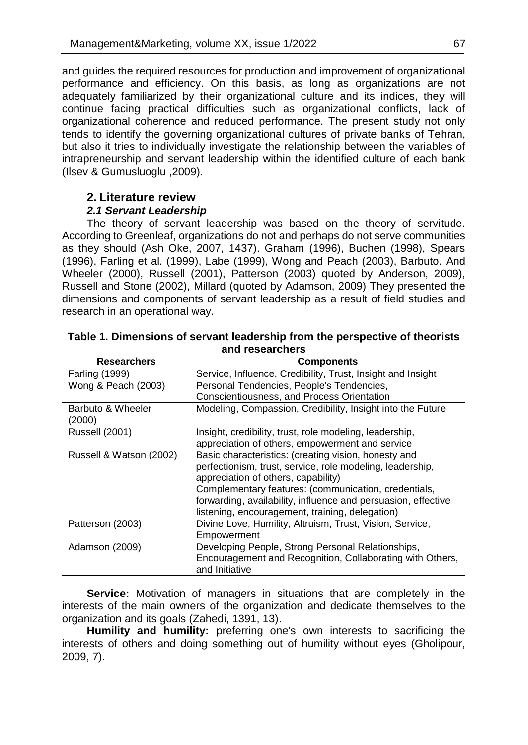and guides the required resources for production and improvement of organizational performance and efficiency. On this basis, as long as organizations are not adequately familiarized by their organizational culture and its indices, they will continue facing practical difficulties such as organizational conflicts, lack of organizational coherence and reduced performance. The present study not only tends to identify the governing organizational cultures of private banks of Tehran, but also it tries to individually investigate the relationship between the variables of intrapreneurship and servant leadership within the identified culture of each bank (Ilsev & Gumusluoglu ,2009).

# **2. Literature review**

### *2.1 Servant Leadership*

The theory of servant leadership was based on the theory of servitude. According to Greenleaf, organizations do not and perhaps do not serve communities as they should (Ash Oke, 2007, 1437). Graham (1996), Buchen (1998), Spears (1996), Farling et al. (1999), Labe (1999), Wong and Peach (2003), Barbuto. And Wheeler (2000), Russell (2001), Patterson (2003) quoted by Anderson, 2009), Russell and Stone (2002), Millard (quoted by Adamson, 2009) They presented the dimensions and components of servant leadership as a result of field studies and research in an operational way.

|                             | anu r <del>escarunci</del> s                                  |  |  |  |  |
|-----------------------------|---------------------------------------------------------------|--|--|--|--|
| <b>Researchers</b>          | <b>Components</b>                                             |  |  |  |  |
| Farling (1999)              | Service, Influence, Credibility, Trust, Insight and Insight   |  |  |  |  |
| Wong & Peach (2003)         | Personal Tendencies, People's Tendencies,                     |  |  |  |  |
|                             | Conscientiousness, and Process Orientation                    |  |  |  |  |
| Barbuto & Wheeler<br>(2000) | Modeling, Compassion, Credibility, Insight into the Future    |  |  |  |  |
| <b>Russell (2001)</b>       | Insight, credibility, trust, role modeling, leadership,       |  |  |  |  |
|                             | appreciation of others, empowerment and service               |  |  |  |  |
| Russell & Watson (2002)     | Basic characteristics: (creating vision, honesty and          |  |  |  |  |
|                             | perfectionism, trust, service, role modeling, leadership,     |  |  |  |  |
|                             | appreciation of others, capability)                           |  |  |  |  |
|                             | Complementary features: (communication, credentials,          |  |  |  |  |
|                             | forwarding, availability, influence and persuasion, effective |  |  |  |  |
|                             | listening, encouragement, training, delegation)               |  |  |  |  |
| Patterson (2003)            | Divine Love, Humility, Altruism, Trust, Vision, Service,      |  |  |  |  |
|                             | Empowerment                                                   |  |  |  |  |
| Adamson (2009)              | Developing People, Strong Personal Relationships,             |  |  |  |  |
|                             | Encouragement and Recognition, Collaborating with Others,     |  |  |  |  |
|                             | and Initiative                                                |  |  |  |  |

### **Table 1. Dimensions of servant leadership from the perspective of theorists and researchers**

**Service:** Motivation of managers in situations that are completely in the interests of the main owners of the organization and dedicate themselves to the organization and its goals (Zahedi, 1391, 13).

**Humility and humility:** preferring one's own interests to sacrificing the interests of others and doing something out of humility without eyes (Gholipour, 2009, 7).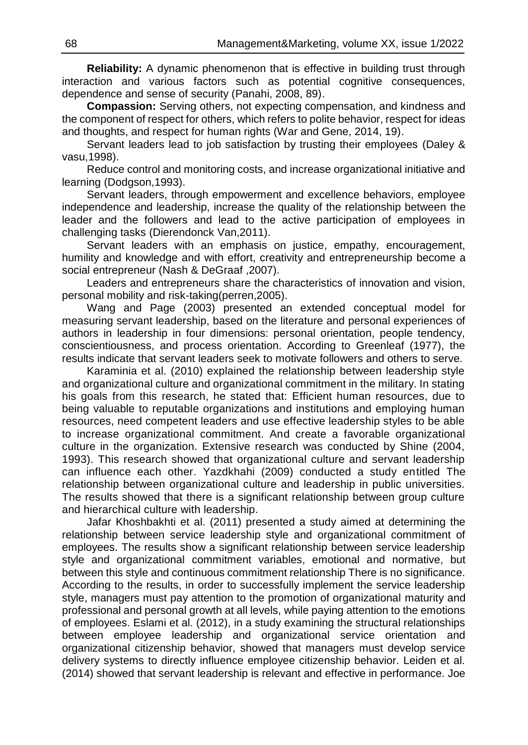**Reliability:** A dynamic phenomenon that is effective in building trust through interaction and various factors such as potential cognitive consequences, dependence and sense of security (Panahi, 2008, 89).

**Compassion:** Serving others, not expecting compensation, and kindness and the component of respect for others, which refers to polite behavior, respect for ideas and thoughts, and respect for human rights (War and Gene, 2014, 19).

Servant leaders lead to job satisfaction by trusting their employees (Daley & vasu,1998).

Reduce control and monitoring costs, and increase organizational initiative and learning (Dodgson,1993).

Servant leaders, through empowerment and excellence behaviors, employee independence and leadership, increase the quality of the relationship between the leader and the followers and lead to the active participation of employees in challenging tasks (Dierendonck Van,2011).

Servant leaders with an emphasis on justice, empathy, encouragement, humility and knowledge and with effort, creativity and entrepreneurship become a social entrepreneur (Nash & DeGraaf ,2007).

Leaders and entrepreneurs share the characteristics of innovation and vision, personal mobility and risk-taking(perren,2005).

Wang and Page (2003) presented an extended conceptual model for measuring servant leadership, based on the literature and personal experiences of authors in leadership in four dimensions: personal orientation, people tendency, conscientiousness, and process orientation. According to Greenleaf (1977), the results indicate that servant leaders seek to motivate followers and others to serve.

Karaminia et al. (2010) explained the relationship between leadership style and organizational culture and organizational commitment in the military. In stating his goals from this research, he stated that: Efficient human resources, due to being valuable to reputable organizations and institutions and employing human resources, need competent leaders and use effective leadership styles to be able to increase organizational commitment. And create a favorable organizational culture in the organization. Extensive research was conducted by Shine (2004, 1993). This research showed that organizational culture and servant leadership can influence each other. Yazdkhahi (2009) conducted a study entitled The relationship between organizational culture and leadership in public universities. The results showed that there is a significant relationship between group culture and hierarchical culture with leadership.

Jafar Khoshbakhti et al. (2011) presented a study aimed at determining the relationship between service leadership style and organizational commitment of employees. The results show a significant relationship between service leadership style and organizational commitment variables, emotional and normative, but between this style and continuous commitment relationship There is no significance. According to the results, in order to successfully implement the service leadership style, managers must pay attention to the promotion of organizational maturity and professional and personal growth at all levels, while paying attention to the emotions of employees. Eslami et al. (2012), in a study examining the structural relationships between employee leadership and organizational service orientation and organizational citizenship behavior, showed that managers must develop service delivery systems to directly influence employee citizenship behavior. Leiden et al. (2014) showed that servant leadership is relevant and effective in performance. Joe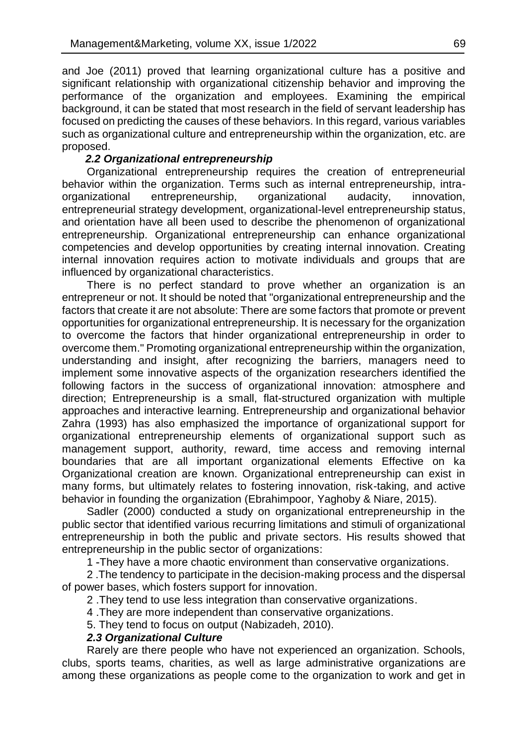and Joe (2011) proved that learning organizational culture has a positive and significant relationship with organizational citizenship behavior and improving the performance of the organization and employees. Examining the empirical background, it can be stated that most research in the field of servant leadership has focused on predicting the causes of these behaviors. In this regard, various variables such as organizational culture and entrepreneurship within the organization, etc. are proposed.

### *2.2 Organizational entrepreneurship*

Organizational entrepreneurship requires the creation of entrepreneurial behavior within the organization. Terms such as internal entrepreneurship, intraorganizational entrepreneurship, organizational audacity, innovation, entrepreneurial strategy development, organizational-level entrepreneurship status, and orientation have all been used to describe the phenomenon of organizational entrepreneurship. Organizational entrepreneurship can enhance organizational competencies and develop opportunities by creating internal innovation. Creating internal innovation requires action to motivate individuals and groups that are influenced by organizational characteristics.

There is no perfect standard to prove whether an organization is an entrepreneur or not. It should be noted that "organizational entrepreneurship and the factors that create it are not absolute: There are some factors that promote or prevent opportunities for organizational entrepreneurship. It is necessary for the organization to overcome the factors that hinder organizational entrepreneurship in order to overcome them." Promoting organizational entrepreneurship within the organization, understanding and insight, after recognizing the barriers, managers need to implement some innovative aspects of the organization researchers identified the following factors in the success of organizational innovation: atmosphere and direction; Entrepreneurship is a small, flat-structured organization with multiple approaches and interactive learning. Entrepreneurship and organizational behavior Zahra (1993) has also emphasized the importance of organizational support for organizational entrepreneurship elements of organizational support such as management support, authority, reward, time access and removing internal boundaries that are all important organizational elements Effective on ka Organizational creation are known. Organizational entrepreneurship can exist in many forms, but ultimately relates to fostering innovation, risk-taking, and active behavior in founding the organization (Ebrahimpoor, Yaghoby & Niare, 2015).

Sadler (2000) conducted a study on organizational entrepreneurship in the public sector that identified various recurring limitations and stimuli of organizational entrepreneurship in both the public and private sectors. His results showed that entrepreneurship in the public sector of organizations:

1 -They have a more chaotic environment than conservative organizations.

2 .The tendency to participate in the decision-making process and the dispersal of power bases, which fosters support for innovation.

2 .They tend to use less integration than conservative organizations.

4 .They are more independent than conservative organizations.

5. They tend to focus on output (Nabizadeh, 2010).

### *2.3 Organizational Culture*

Rarely are there people who have not experienced an organization. Schools, clubs, sports teams, charities, as well as large administrative organizations are among these organizations as people come to the organization to work and get in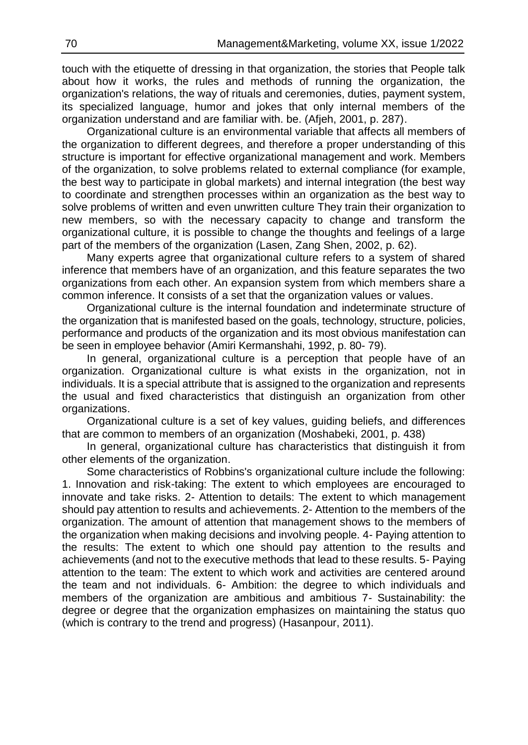touch with the etiquette of dressing in that organization, the stories that People talk about how it works, the rules and methods of running the organization, the organization's relations, the way of rituals and ceremonies, duties, payment system, its specialized language, humor and jokes that only internal members of the organization understand and are familiar with. be. (Afjeh, 2001, p. 287).

Organizational culture is an environmental variable that affects all members of the organization to different degrees, and therefore a proper understanding of this structure is important for effective organizational management and work. Members of the organization, to solve problems related to external compliance (for example, the best way to participate in global markets) and internal integration (the best way to coordinate and strengthen processes within an organization as the best way to solve problems of written and even unwritten culture They train their organization to new members, so with the necessary capacity to change and transform the organizational culture, it is possible to change the thoughts and feelings of a large part of the members of the organization (Lasen, Zang Shen, 2002, p. 62).

Many experts agree that organizational culture refers to a system of shared inference that members have of an organization, and this feature separates the two organizations from each other. An expansion system from which members share a common inference. It consists of a set that the organization values or values.

Organizational culture is the internal foundation and indeterminate structure of the organization that is manifested based on the goals, technology, structure, policies, performance and products of the organization and its most obvious manifestation can be seen in employee behavior (Amiri Kermanshahi, 1992, p. 80- 79).

In general, organizational culture is a perception that people have of an organization. Organizational culture is what exists in the organization, not in individuals. It is a special attribute that is assigned to the organization and represents the usual and fixed characteristics that distinguish an organization from other organizations.

Organizational culture is a set of key values, guiding beliefs, and differences that are common to members of an organization (Moshabeki, 2001, p. 438)

In general, organizational culture has characteristics that distinguish it from other elements of the organization.

Some characteristics of Robbins's organizational culture include the following: 1. Innovation and risk-taking: The extent to which employees are encouraged to innovate and take risks. 2- Attention to details: The extent to which management should pay attention to results and achievements. 2- Attention to the members of the organization. The amount of attention that management shows to the members of the organization when making decisions and involving people. 4- Paying attention to the results: The extent to which one should pay attention to the results and achievements (and not to the executive methods that lead to these results. 5- Paying attention to the team: The extent to which work and activities are centered around the team and not individuals. 6- Ambition: the degree to which individuals and members of the organization are ambitious and ambitious 7- Sustainability: the degree or degree that the organization emphasizes on maintaining the status quo (which is contrary to the trend and progress) (Hasanpour, 2011).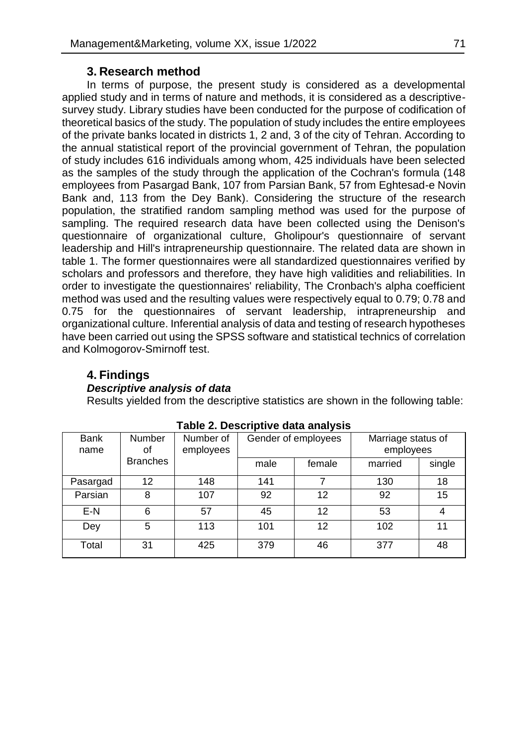### **3. Research method**

In terms of purpose, the present study is considered as a developmental applied study and in terms of nature and methods, it is considered as a descriptivesurvey study. Library studies have been conducted for the purpose of codification of theoretical basics of the study. The population of study includes the entire employees of the private banks located in districts 1, 2 and, 3 of the city of Tehran. According to the annual statistical report of the provincial government of Tehran, the population of study includes 616 individuals among whom, 425 individuals have been selected as the samples of the study through the application of the Cochran's formula (148 employees from Pasargad Bank, 107 from Parsian Bank, 57 from Eghtesad-e Novin Bank and, 113 from the Dey Bank). Considering the structure of the research population, the stratified random sampling method was used for the purpose of sampling. The required research data have been collected using the Denison's questionnaire of organizational culture, Gholipour's questionnaire of servant leadership and Hill's intrapreneurship questionnaire. The related data are shown in table 1. The former questionnaires were all standardized questionnaires verified by scholars and professors and therefore, they have high validities and reliabilities. In order to investigate the questionnaires' reliability, The Cronbach's alpha coefficient method was used and the resulting values were respectively equal to 0.79; 0.78 and 0.75 for the questionnaires of servant leadership, intrapreneurship and organizational culture. Inferential analysis of data and testing of research hypotheses have been carried out using the SPSS software and statistical technics of correlation and Kolmogorov-Smirnoff test.

# **4. Findings**

### *Descriptive analysis of data*

Results yielded from the descriptive statistics are shown in the following table:

| <b>Bank</b><br>name | Number<br>οf    | Marriage status of<br>Number of<br>Gender of employees<br>employees<br>employees |      |        |         |        |
|---------------------|-----------------|----------------------------------------------------------------------------------|------|--------|---------|--------|
|                     | <b>Branches</b> |                                                                                  | male | female | married | single |
| Pasargad            | 12              | 148                                                                              | 141  |        | 130     | 18     |
| Parsian             | 8               | 107                                                                              | 92   | 12     | 92      | 15     |
| $E-N$               | 6               | 57                                                                               | 45   | 12     | 53      | 4      |
| Dey                 | 5               | 113                                                                              | 101  | 12     | 102     | 11     |
| Total               | 31              | 425                                                                              | 379  | 46     | 377     | 48     |

### **Table 2. Descriptive data analysis**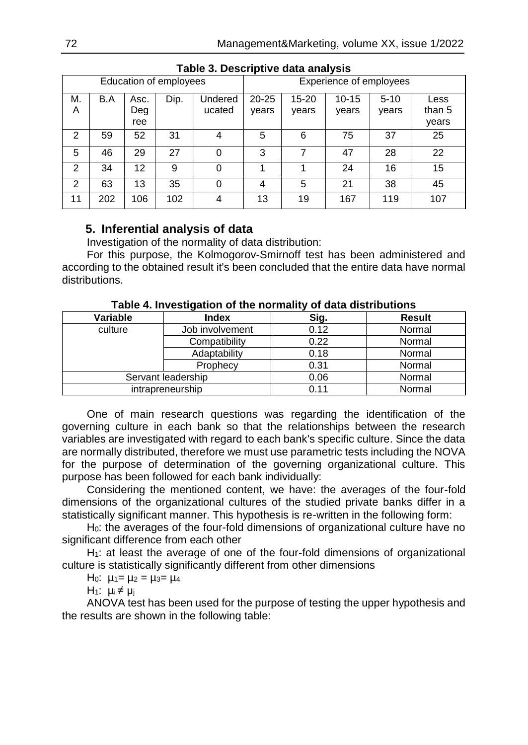|                        | .<br>-------- |      |      |         |                         |           |           |          |        |
|------------------------|---------------|------|------|---------|-------------------------|-----------|-----------|----------|--------|
| Education of employees |               |      |      |         | Experience of employees |           |           |          |        |
| М.                     | B.A           | Asc. | Dip. | Undered | $20 - 25$               | $15 - 20$ | $10 - 15$ | $5 - 10$ | Less   |
| A                      |               | Deg  |      | ucated  | years                   | years     | years     | years    | than 5 |
|                        |               | ree  |      |         |                         |           |           |          | years  |
| 2                      | 59            | 52   | 31   | 4       | 5                       | 6         | 75        | 37       | 25     |
| 5                      | 46            | 29   | 27   | 0       | 3                       |           | 47        | 28       | 22     |
| $\mathfrak{p}$         | 34            | 12   | 9    | 0       |                         |           | 24        | 16       | 15     |
| $\mathcal{P}$          | 63            | 13   | 35   | 0       | 4                       | 5         | 21        | 38       | 45     |
| 11                     | 202           | 106  | 102  | 4       | 13                      | 19        | 167       | 119      | 107    |

### **Table 3. Descriptive data analysis**

# **5. Inferential analysis of data**

Investigation of the normality of data distribution:

For this purpose, the Kolmogorov-Smirnoff test has been administered and according to the obtained result it's been concluded that the entire data have normal distributions.

| Variable           | <b>Index</b>     | Sig. | <b>Result</b> |
|--------------------|------------------|------|---------------|
| culture            | Job involvement  | 0.12 | Normal        |
|                    | Compatibility    | 0.22 | Normal        |
|                    | Adaptability     | 0.18 | Normal        |
|                    | Prophecy         | 0.31 | Normal        |
| Servant leadership |                  | 0.06 | Normal        |
|                    | intrapreneurship | 0.11 | Normal        |

**Table 4. Investigation of the normality of data distributions**

One of main research questions was regarding the identification of the governing culture in each bank so that the relationships between the research variables are investigated with regard to each bank's specific culture. Since the data are normally distributed, therefore we must use parametric tests including the NOVA for the purpose of determination of the governing organizational culture. This purpose has been followed for each bank individually:

Considering the mentioned content, we have: the averages of the four-fold dimensions of the organizational cultures of the studied private banks differ in a statistically significant manner. This hypothesis is re-written in the following form:

H0: the averages of the four-fold dimensions of organizational culture have no significant difference from each other

 $H<sub>1</sub>$ : at least the average of one of the four-fold dimensions of organizational culture is statistically significantly different from other dimensions

H<sub>0</sub>:  $\mu_1 = \mu_2 = \mu_3 = \mu_4$ 

H<sub>1</sub>:  $\mu_i \neq \mu_i$ 

ANOVA test has been used for the purpose of testing the upper hypothesis and the results are shown in the following table: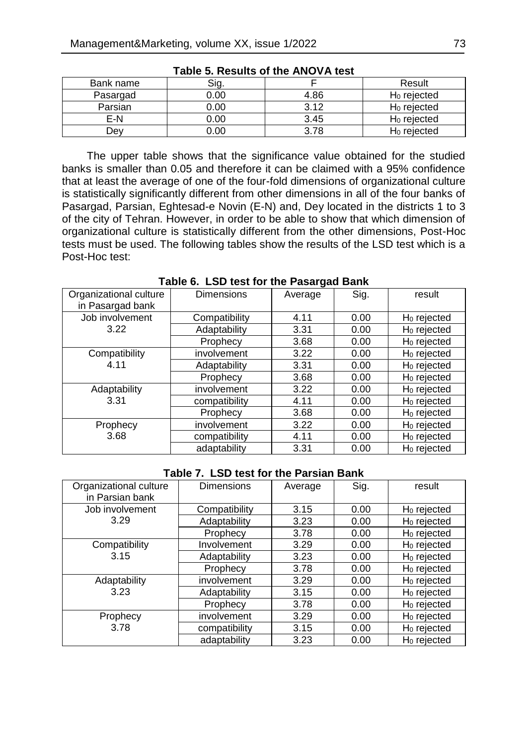| Bank name | Sig. |      | Result         |
|-----------|------|------|----------------|
| Pasargad  | 0.00 | 4.86 | $H_0$ rejected |
| Parsian   | 0.00 | 3.12 | $H_0$ rejected |
| F-N       | 0.00 | 3.45 | $H_0$ rejected |
| Jev       | 00.( | 3.78 | $H0$ rejected  |

**Table 5. Results of the ANOVA test**

The upper table shows that the significance value obtained for the studied banks is smaller than 0.05 and therefore it can be claimed with a 95% confidence that at least the average of one of the four-fold dimensions of organizational culture is statistically significantly different from other dimensions in all of the four banks of Pasargad, Parsian, Eghtesad-e Novin (E-N) and, Dey located in the districts 1 to 3 of the city of Tehran. However, in order to be able to show that which dimension of organizational culture is statistically different from the other dimensions, Post-Hoc tests must be used. The following tables show the results of the LSD test which is a Post-Hoc test:

| Organizational culture<br>in Pasargad bank | <b>Dimensions</b> | Average | Sig. | result                  |  |  |
|--------------------------------------------|-------------------|---------|------|-------------------------|--|--|
| Job involvement                            | Compatibility     | 4.11    | 0.00 | $H_0$ rejected          |  |  |
| 3.22                                       | Adaptability      | 3.31    | 0.00 | $H_0$ rejected          |  |  |
|                                            | Prophecy          | 3.68    | 0.00 | $H_0$ rejected          |  |  |
| Compatibility                              | involvement       | 3.22    | 0.00 | $H_0$ rejected          |  |  |
| 4.11                                       | Adaptability      | 3.31    | 0.00 | H <sub>0</sub> rejected |  |  |
|                                            | Prophecy          | 3.68    | 0.00 | H <sub>0</sub> rejected |  |  |
| Adaptability                               | involvement       | 3.22    | 0.00 | H <sub>0</sub> rejected |  |  |
| 3.31                                       | compatibility     | 4.11    | 0.00 | H <sub>0</sub> rejected |  |  |
|                                            | Prophecy          | 3.68    | 0.00 | H <sub>0</sub> rejected |  |  |
| Prophecy                                   | involvement       | 3.22    | 0.00 | H <sub>0</sub> rejected |  |  |
| 3.68                                       | compatibility     | 4.11    | 0.00 | H <sub>0</sub> rejected |  |  |
|                                            | adaptability      | 3.31    | 0.00 | H <sub>0</sub> rejected |  |  |

**Table 6. LSD test for the Pasargad Bank**

### **Table 7. LSD test for the Parsian Bank**

| Organizational culture<br>in Parsian bank | <b>Dimensions</b> | Average | Sig. | result                  |
|-------------------------------------------|-------------------|---------|------|-------------------------|
| Job involvement                           | Compatibility     | 3.15    | 0.00 | H <sub>0</sub> rejected |
| 3.29                                      | Adaptability      | 3.23    | 0.00 | H <sub>0</sub> rejected |
|                                           | Prophecy          | 3.78    | 0.00 | H <sub>0</sub> rejected |
| Compatibility                             | Involvement       | 3.29    | 0.00 | H <sub>0</sub> rejected |
| 3.15                                      | Adaptability      | 3.23    | 0.00 | H <sub>0</sub> rejected |
|                                           | Prophecy          | 3.78    | 0.00 | H <sub>0</sub> rejected |
| Adaptability                              | involvement       | 3.29    | 0.00 | H <sub>0</sub> rejected |
| 3.23                                      | Adaptability      | 3.15    | 0.00 | H <sub>0</sub> rejected |
|                                           | Prophecy          | 3.78    | 0.00 | $H_0$ rejected          |
| Prophecy                                  | involvement       | 3.29    | 0.00 | H <sub>0</sub> rejected |
| 3.78                                      | compatibility     | 3.15    | 0.00 | $H_0$ rejected          |
|                                           | adaptability      | 3.23    | 0.00 | $H_0$ rejected          |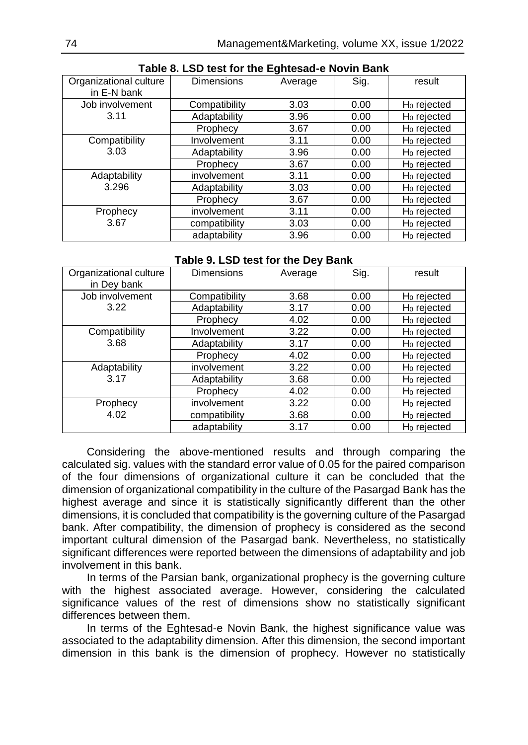| Organizational culture<br>in E-N bank | <b>Dimensions</b> | Average | Sig. | result                  |  |
|---------------------------------------|-------------------|---------|------|-------------------------|--|
|                                       |                   |         |      |                         |  |
| Job involvement                       | Compatibility     | 3.03    | 0.00 | H <sub>0</sub> rejected |  |
| 3.11                                  | Adaptability      | 3.96    | 0.00 | H <sub>0</sub> rejected |  |
|                                       | Prophecy          | 3.67    | 0.00 | H <sub>0</sub> rejected |  |
| Compatibility                         | Involvement       | 3.11    | 0.00 | H <sub>0</sub> rejected |  |
| 3.03                                  | Adaptability      | 3.96    | 0.00 | H <sub>0</sub> rejected |  |
|                                       | Prophecy          | 3.67    | 0.00 | H <sub>0</sub> rejected |  |
| Adaptability                          | involvement       | 3.11    | 0.00 | H <sub>0</sub> rejected |  |
| 3.296                                 | Adaptability      | 3.03    | 0.00 | $H_0$ rejected          |  |
|                                       | Prophecy          | 3.67    | 0.00 | H <sub>0</sub> rejected |  |
| Prophecy                              | involvement       | 3.11    | 0.00 | $H_0$ rejected          |  |
| 3.67                                  | compatibility     | 3.03    | 0.00 | H <sub>0</sub> rejected |  |
|                                       | adaptability      | 3.96    | 0.00 | $H_0$ rejected          |  |

## **Table 8. LSD test for the Eghtesad-e Novin Bank**

### **Table 9. LSD test for the Dey Bank**

| Organizational culture<br>in Dey bank | Dimensions    | Average | Sig. | result                  |
|---------------------------------------|---------------|---------|------|-------------------------|
| Job involvement                       | Compatibility | 3.68    | 0.00 | H <sub>0</sub> rejected |
| 3.22                                  | Adaptability  | 3.17    | 0.00 | $H_0$ rejected          |
|                                       | Prophecy      | 4.02    | 0.00 | H <sub>0</sub> rejected |
| Compatibility                         | Involvement   | 3.22    | 0.00 | $H_0$ rejected          |
| 3.68                                  | Adaptability  | 3.17    | 0.00 | H <sub>0</sub> rejected |
|                                       | Prophecy      | 4.02    | 0.00 | $H_0$ rejected          |
| Adaptability                          | involvement   | 3.22    | 0.00 | H <sub>0</sub> rejected |
| 3.17                                  | Adaptability  | 3.68    | 0.00 | $H_0$ rejected          |
|                                       | Prophecy      | 4.02    | 0.00 | H <sub>0</sub> rejected |
| Prophecy                              | involvement   | 3.22    | 0.00 | $H_0$ rejected          |
| 4.02                                  | compatibility | 3.68    | 0.00 | H <sub>0</sub> rejected |
|                                       | adaptability  | 3.17    | 0.00 | H <sub>0</sub> rejected |

Considering the above-mentioned results and through comparing the calculated sig. values with the standard error value of 0.05 for the paired comparison of the four dimensions of organizational culture it can be concluded that the dimension of organizational compatibility in the culture of the Pasargad Bank has the highest average and since it is statistically significantly different than the other dimensions, it is concluded that compatibility is the governing culture of the Pasargad bank. After compatibility, the dimension of prophecy is considered as the second important cultural dimension of the Pasargad bank. Nevertheless, no statistically significant differences were reported between the dimensions of adaptability and job involvement in this bank.

In terms of the Parsian bank, organizational prophecy is the governing culture with the highest associated average. However, considering the calculated significance values of the rest of dimensions show no statistically significant differences between them.

In terms of the Eghtesad-e Novin Bank, the highest significance value was associated to the adaptability dimension. After this dimension, the second important dimension in this bank is the dimension of prophecy. However no statistically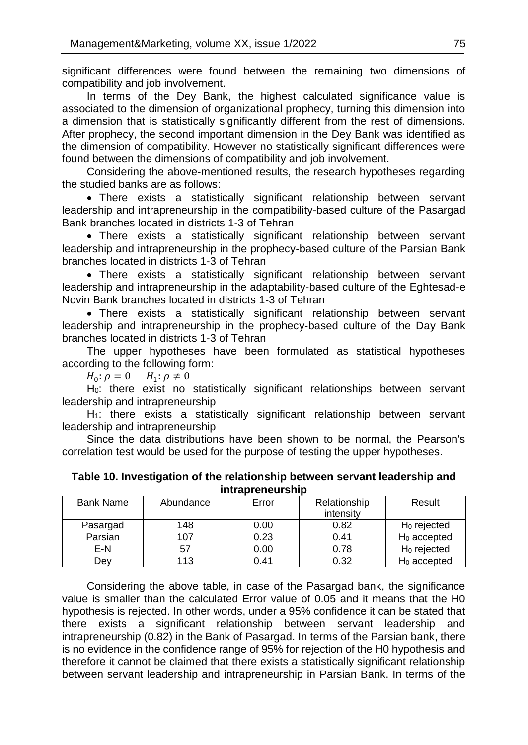significant differences were found between the remaining two dimensions of compatibility and job involvement.

In terms of the Dey Bank, the highest calculated significance value is associated to the dimension of organizational prophecy, turning this dimension into a dimension that is statistically significantly different from the rest of dimensions. After prophecy, the second important dimension in the Dey Bank was identified as the dimension of compatibility. However no statistically significant differences were found between the dimensions of compatibility and job involvement.

Considering the above-mentioned results, the research hypotheses regarding the studied banks are as follows:

 There exists a statistically significant relationship between servant leadership and intrapreneurship in the compatibility-based culture of the Pasargad Bank branches located in districts 1-3 of Tehran

 There exists a statistically significant relationship between servant leadership and intrapreneurship in the prophecy-based culture of the Parsian Bank branches located in districts 1-3 of Tehran

 There exists a statistically significant relationship between servant leadership and intrapreneurship in the adaptability-based culture of the Eghtesad-e Novin Bank branches located in districts 1-3 of Tehran

 There exists a statistically significant relationship between servant leadership and intrapreneurship in the prophecy-based culture of the Day Bank branches located in districts 1-3 of Tehran

The upper hypotheses have been formulated as statistical hypotheses according to the following form:

 $H_0: \rho = 0$   $H_1$  $H_1$ :  $\rho \neq 0$ 

H0: there exist no statistically significant relationships between servant leadership and intrapreneurship

H<sub>1</sub>: there exists a statistically significant relationship between servant leadership and intrapreneurship

Since the data distributions have been shown to be normal, the Pearson's correlation test would be used for the purpose of testing the upper hypotheses.

| <b>Intrapreneurship</b> |           |       |              |                         |  |  |  |
|-------------------------|-----------|-------|--------------|-------------------------|--|--|--|
| <b>Bank Name</b>        | Abundance | Error | Relationship | Result                  |  |  |  |
|                         |           |       | intensity    |                         |  |  |  |
| Pasargad                | 148       | 0.00  | 0.82         | $H_0$ rejected          |  |  |  |
| Parsian                 | 107       | 0.23  | 0.41         | $H_0$ accepted          |  |  |  |
| E-N                     | 57        | 0.00  | 0.78         | $H_0$ rejected          |  |  |  |
| Dev                     | 113       | 0.41  | 0.32         | H <sub>0</sub> accepted |  |  |  |

**Table 10. Investigation of the relationship between servant leadership and intrapreneurship**

Considering the above table, in case of the Pasargad bank, the significance value is smaller than the calculated Error value of 0.05 and it means that the H0 hypothesis is rejected. In other words, under a 95% confidence it can be stated that there exists a significant relationship between servant leadership and intrapreneurship (0.82) in the Bank of Pasargad. In terms of the Parsian bank, there is no evidence in the confidence range of 95% for rejection of the H0 hypothesis and therefore it cannot be claimed that there exists a statistically significant relationship between servant leadership and intrapreneurship in Parsian Bank. In terms of the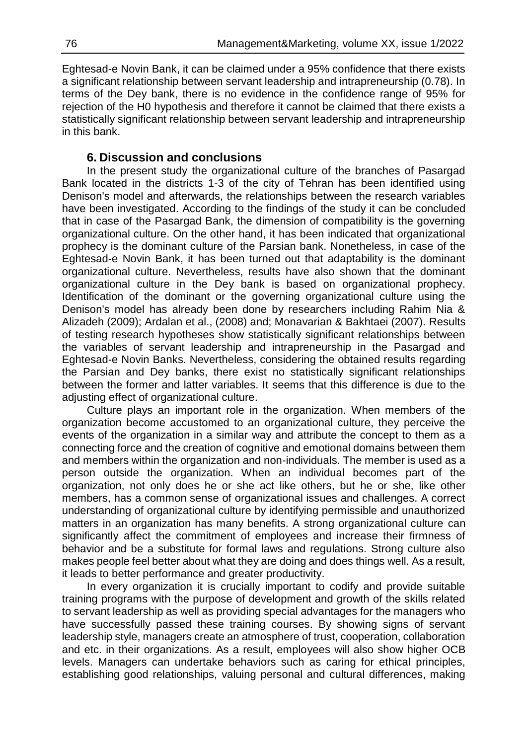Eghtesad-e Novin Bank, it can be claimed under a 95% confidence that there exists a significant relationship between servant leadership and intrapreneurship (0.78). In terms of the Dey bank, there is no evidence in the confidence range of 95% for rejection of the H0 hypothesis and therefore it cannot be claimed that there exists a statistically significant relationship between servant leadership and intrapreneurship in this bank.

## **6. Discussion and conclusions**

In the present study the organizational culture of the branches of Pasargad Bank located in the districts 1-3 of the city of Tehran has been identified using Denison's model and afterwards, the relationships between the research variables have been investigated. According to the findings of the study it can be concluded that in case of the Pasargad Bank, the dimension of compatibility is the governing organizational culture. On the other hand, it has been indicated that organizational prophecy is the dominant culture of the Parsian bank. Nonetheless, in case of the Eghtesad-e Novin Bank, it has been turned out that adaptability is the dominant organizational culture. Nevertheless, results have also shown that the dominant organizational culture in the Dey bank is based on organizational prophecy. Identification of the dominant or the governing organizational culture using the Denison's model has already been done by researchers including Rahim Nia & Alizadeh (2009); Ardalan et al., (2008) and; Monavarian & Bakhtaei (2007). Results of testing research hypotheses show statistically significant relationships between the variables of servant leadership and intrapreneurship in the Pasargad and Eghtesad-e Novin Banks. Nevertheless, considering the obtained results regarding the Parsian and Dey banks, there exist no statistically significant relationships between the former and latter variables. It seems that this difference is due to the adjusting effect of organizational culture.

Culture plays an important role in the organization. When members of the organization become accustomed to an organizational culture, they perceive the events of the organization in a similar way and attribute the concept to them as a connecting force and the creation of cognitive and emotional domains between them and members within the organization and non-individuals. The member is used as a person outside the organization. When an individual becomes part of the organization, not only does he or she act like others, but he or she, like other members, has a common sense of organizational issues and challenges. A correct understanding of organizational culture by identifying permissible and unauthorized matters in an organization has many benefits. A strong organizational culture can significantly affect the commitment of employees and increase their firmness of behavior and be a substitute for formal laws and regulations. Strong culture also makes people feel better about what they are doing and does things well. As a result, it leads to better performance and greater productivity.

In every organization it is crucially important to codify and provide suitable training programs with the purpose of development and growth of the skills related to servant leadership as well as providing special advantages for the managers who have successfully passed these training courses. By showing signs of servant leadership style, managers create an atmosphere of trust, cooperation, collaboration and etc. in their organizations. As a result, employees will also show higher OCB levels. Managers can undertake behaviors such as caring for ethical principles, establishing good relationships, valuing personal and cultural differences, making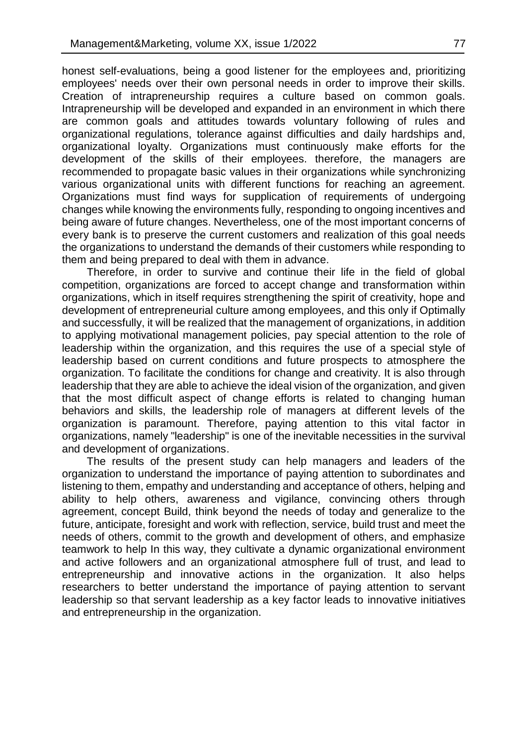honest self-evaluations, being a good listener for the employees and, prioritizing employees' needs over their own personal needs in order to improve their skills. Creation of intrapreneurship requires a culture based on common goals. Intrapreneurship will be developed and expanded in an environment in which there are common goals and attitudes towards voluntary following of rules and organizational regulations, tolerance against difficulties and daily hardships and, organizational loyalty. Organizations must continuously make efforts for the development of the skills of their employees. therefore, the managers are recommended to propagate basic values in their organizations while synchronizing various organizational units with different functions for reaching an agreement. Organizations must find ways for supplication of requirements of undergoing changes while knowing the environments fully, responding to ongoing incentives and being aware of future changes. Nevertheless, one of the most important concerns of every bank is to preserve the current customers and realization of this goal needs the organizations to understand the demands of their customers while responding to them and being prepared to deal with them in advance.

Therefore, in order to survive and continue their life in the field of global competition, organizations are forced to accept change and transformation within organizations, which in itself requires strengthening the spirit of creativity, hope and development of entrepreneurial culture among employees, and this only if Optimally and successfully, it will be realized that the management of organizations, in addition to applying motivational management policies, pay special attention to the role of leadership within the organization, and this requires the use of a special style of leadership based on current conditions and future prospects to atmosphere the organization. To facilitate the conditions for change and creativity. It is also through leadership that they are able to achieve the ideal vision of the organization, and given that the most difficult aspect of change efforts is related to changing human behaviors and skills, the leadership role of managers at different levels of the organization is paramount. Therefore, paying attention to this vital factor in organizations, namely "leadership" is one of the inevitable necessities in the survival and development of organizations.

The results of the present study can help managers and leaders of the organization to understand the importance of paying attention to subordinates and listening to them, empathy and understanding and acceptance of others, helping and ability to help others, awareness and vigilance, convincing others through agreement, concept Build, think beyond the needs of today and generalize to the future, anticipate, foresight and work with reflection, service, build trust and meet the needs of others, commit to the growth and development of others, and emphasize teamwork to help In this way, they cultivate a dynamic organizational environment and active followers and an organizational atmosphere full of trust, and lead to entrepreneurship and innovative actions in the organization. It also helps researchers to better understand the importance of paying attention to servant leadership so that servant leadership as a key factor leads to innovative initiatives and entrepreneurship in the organization.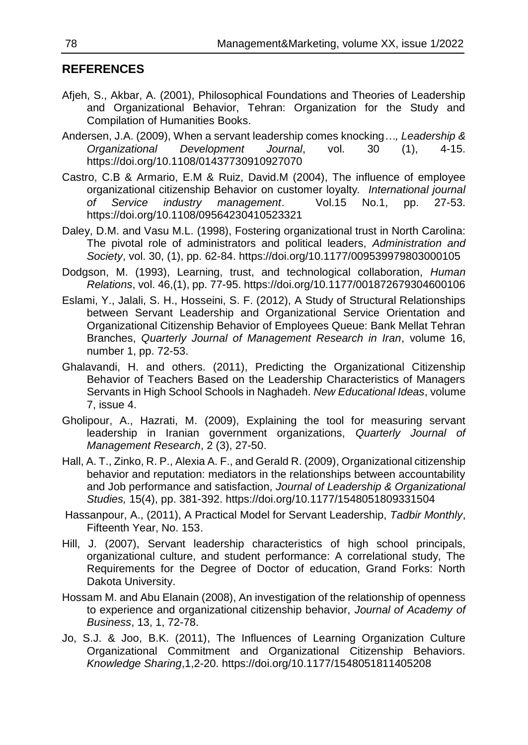# **REFERENCES**

- Afjeh, S., Akbar, A. (2001), Philosophical Foundations and Theories of Leadership and Organizational Behavior, Tehran: Organization for the Study and Compilation of Humanities Books.
- Andersen, J.A. (2009), When a servant leadership comes knocking*…, Leadership & Organizational Development Journal*, vol. 30 (1), 4-15. https://doi.org/10.1108/01437730910927070
- Castro, C.B & Armario, E.M & Ruiz, David.M (2004), The influence of employee organizational citizenship Behavior on customer loyalty*. International journal of Service industry management*. Vol.15 No.1, pp. 27-53. https://doi.org/10.1108/09564230410523321
- Daley, D.M. and Vasu M.L. (1998), Fostering organizational trust in North Carolina: The pivotal role of administrators and political leaders, *Administration and Society*, vol. 30, (1), pp. 62-84. https://doi.org/10.1177/009539979803000105
- Dodgson, M. (1993), Learning, trust, and technological collaboration, *Human Relations*, vol. 46,(1), pp. 77-95. https://doi.org/10.1177/001872679304600106
- Eslami, Y., Jalali, S. H., Hosseini, S. F. (2012), A Study of Structural Relationships between Servant Leadership and Organizational Service Orientation and Organizational Citizenship Behavior of Employees Queue: Bank Mellat Tehran Branches, *Quarterly Journal of Management Research in Iran*, volume 16, number 1, pp. 72-53.
- Ghalavandi, H. and others. (2011), Predicting the Organizational Citizenship Behavior of Teachers Based on the Leadership Characteristics of Managers Servants in High School Schools in Naghadeh. *New Educational Ideas*, volume 7, issue 4.
- Gholipour, A., Hazrati, M. (2009), Explaining the tool for measuring servant leadership in Iranian government organizations, *Quarterly Journal of Management Research*, 2 (3), 27-50.
- Hall, A. T., Zinko, R. P., Alexia A. F., and Gerald R. (2009), Organizational citizenship behavior and reputation: mediators in the relationships between accountability and Job performance and satisfaction, *Journal of Leadership & Organizational Studies,* 15(4), pp. 381-392. https://doi.org/10.1177/1548051809331504
- Hassanpour, A., (2011), A Practical Model for Servant Leadership, *Tadbir Monthly*, Fifteenth Year, No. 153.
- Hill, J. (2007), Servant leadership characteristics of high school principals, organizational culture, and student performance: A correlational study, The Requirements for the Degree of Doctor of education, Grand Forks: North Dakota University.
- Hossam M. and Abu Elanain (2008), An investigation of the relationship of openness to experience and organizational citizenship behavior, *Journal of Academy of Business*, 13, 1, 72-78.
- Jo, S.J. & Joo, B.K. (2011), The Influences of Learning Organization Culture Organizational Commitment and Organizational Citizenship Behaviors. *Knowledge Sharing*,1,2-20. https://doi.org/10.1177/1548051811405208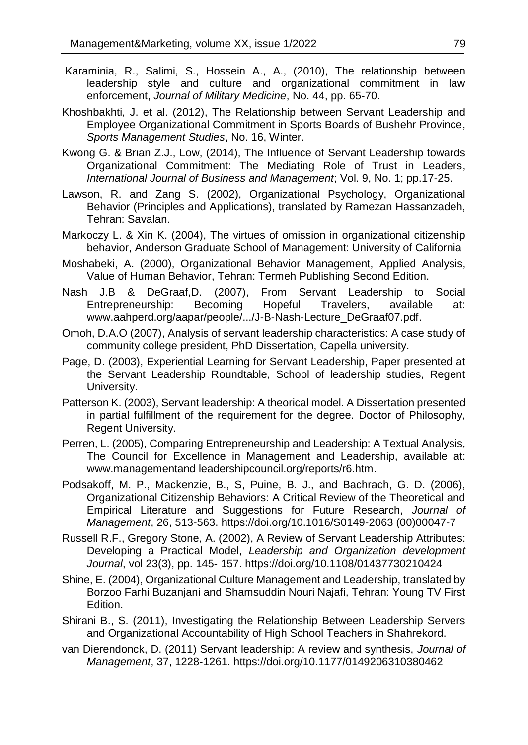- Karaminia, R., Salimi, S., Hossein A., A., (2010), The relationship between leadership style and culture and organizational commitment in law enforcement, *Journal of Military Medicine*, No. 44, pp. 65-70.
- Khoshbakhti, J. et al. (2012), The Relationship between Servant Leadership and Employee Organizational Commitment in Sports Boards of Bushehr Province, *Sports Management Studies*, No. 16, Winter.
- Kwong G. & Brian Z.J., Low, (2014), The Influence of Servant Leadership towards Organizational Commitment: The Mediating Role of Trust in Leaders, *International Journal of Business and Management*; Vol. 9, No. 1; pp.17-25.
- Lawson, R. and Zang S. (2002), Organizational Psychology, Organizational Behavior (Principles and Applications), translated by Ramezan Hassanzadeh, Tehran: Savalan.
- Markoczy L. & Xin K. (2004), The virtues of omission in organizational citizenship behavior, Anderson Graduate School of Management: University of California
- Moshabeki, A. (2000), Organizational Behavior Management, Applied Analysis, Value of Human Behavior, Tehran: Termeh Publishing Second Edition.
- Nash J.B & DeGraaf,D. (2007), From Servant Leadership to Social Entrepreneurship: Becoming Hopeful Travelers, available at: www.aahperd.org/aapar/people/.../J-B-Nash-Lecture\_DeGraaf07.pdf.
- Omoh, D.A.O (2007), Analysis of servant leadership characteristics: A case study of community college president, PhD Dissertation, Capella university.
- Page, D. (2003), Experiential Learning for Servant Leadership, Paper presented at the Servant Leadership Roundtable, School of leadership studies, Regent University.
- Patterson K. (2003), Servant leadership: A theorical model. A Dissertation presented in partial fulfillment of the requirement for the degree. Doctor of Philosophy, Regent University.
- Perren, L. (2005), Comparing Entrepreneurship and Leadership: A Textual Analysis, The Council for Excellence in Management and Leadership, available at: www.managementand leadershipcouncil.org/reports/r6.htm.
- Podsakoff, M. P., Mackenzie, B., S, Puine, B. J., and Bachrach, G. D. (2006), Organizational Citizenship Behaviors: A Critical Review of the Theoretical and Empirical Literature and Suggestions for Future Research, *Journal of Management*, 26, 513-563. <https://doi.org/10.1016/S0149-2063> (00)00047-7
- Russell R.F., Gregory Stone, A. (2002), A Review of Servant Leadership Attributes: Developing a Practical Model, *Leadership and Organization development Journal*, vol 23(3), pp. 145- 157. https://doi.org/10.1108/01437730210424
- Shine, E. (2004), Organizational Culture Management and Leadership, translated by Borzoo Farhi Buzanjani and Shamsuddin Nouri Najafi, Tehran: Young TV First Edition.
- Shirani B., S. (2011), Investigating the Relationship Between Leadership Servers and Organizational Accountability of High School Teachers in Shahrekord.
- van Dierendonck, D. (2011) Servant leadership: A review and synthesis, *Journal of Management*, 37, 1228-1261. https://doi.org/10.1177/0149206310380462